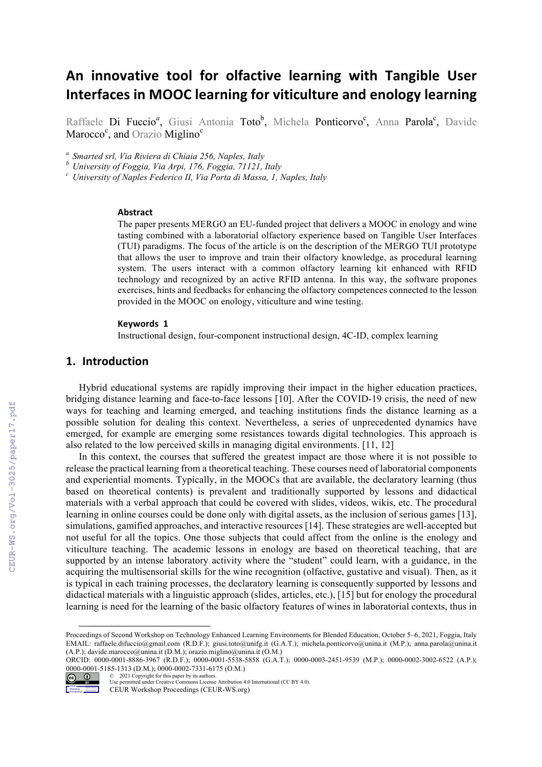# An innovative tool for olfactive learning with Tangible User **Interfaces in MOOC learning for viticulture and enology learning**

Raffaele Di Fuccio<sup>a</sup>, Giusi Antonia Toto<sup>b</sup>, Michela Ponticorvo<sup>c</sup>, Anna Parola<sup>c</sup>, Davide Marocco<sup>c</sup>, and Orazio Miglino<sup>c</sup>

*<sup>a</sup> Smarted srl, Via Riviera di Chiaia 256, Naples, Italy*

*<sup>b</sup> University of Foggia, Via Arpi, 176, Foggia, 71121, Italy <sup>c</sup> University of Naples Federico II, Via Porta di Massa, 1, Naples, Italy*

#### **Abstract**

The paper presents MERGO an EU-funded project that delivers a MOOC in enology and wine tasting combined with a laboratorial olfactory experience based on Tangible User Interfaces (TUI) paradigms. The focus of the article is on the description of the MERGO TUI prototype that allows the user to improve and train their olfactory knowledge, as procedural learning system. The users interact with a common olfactory learning kit enhanced with RFID technology and recognized by an active RFID antenna. In this way, the software propones exercises, hints and feedbacks for enhancing the olfactory competences connected to the lesson provided in the MOOC on enology, viticulture and wine testing.

#### **Keywords 1**

Instructional design, four-component instructional design, 4C-ID, complex learning

#### **1. Introduction**

Hybrid educational systems are rapidly improving their impact in the higher education practices, bridging distance learning and face-to-face lessons [10]. After the COVID-19 crisis, the need of new ways for teaching and learning emerged, and teaching institutions finds the distance learning as a possible solution for dealing this context. Nevertheless, a series of unprecedented dynamics have emerged, for example are emerging some resistances towards digital technologies. This approach is also related to the low perceived skills in managing digital environments. [11, 12]

In this context, the courses that suffered the greatest impact are those where it is not possible to release the practical learning from a theoretical teaching. These courses need of laboratorial components and experiential moments. Typically, in the MOOCs that are available, the declaratory learning (thus based on theoretical contents) is prevalent and traditionally supported by lessons and didactical materials with a verbal approach that could be covered with slides, videos, wikis, etc. The procedural learning in online courses could be done only with digital assets, as the inclusion of serious games [13], simulations, gamified approaches, and interactive resources [14]. These strategies are well-accepted but not useful for all the topics. One those subjects that could affect from the online is the enology and viticulture teaching. The academic lessons in enology are based on theoretical teaching, that are supported by an intense laboratory activity where the "student" could learn, with a guidance, in the acquiring the multisensorial skills for the wine recognition (olfactive, gustative and visual). Then, as it is typical in each training processes, the declaratory learning is consequently supported by lessons and didactical materials with a linguistic approach (slides, articles, etc.), [15] but for enology the procedural learning is need for the learning of the basic olfactory features of wines in laboratorial contexts, thus in

ORCID: 0000-0001-8886-3967 (R.D.F.); 0000-0001-5538-5858 (G.A.T.); 0000-0003-2451-9539 (M.P.); 0000-0002-3002-6522 (A.P.); 0000-0001-5185-1313 (D.M.); 0000-0002-7331-6175 (O.M.) © 2021 Copyright for this paper by its authors.



Use permitted under Creative Commons License Attribution 4.0 International (CC BY 4.0).

Proceedings of Second Workshop on Technology Enhanced Learning Environments for Blended Education, October 5–6, 2021, Foggia, Italy EMAIL: raffaele.difuccio@gmail.com (R.D.F.); giusi.toto@unifg.it (G.A.T.); michela.ponticorvo@unina.it (M.P.); anna.parola@unina.it (A.P.); davide.marocco@unina.it (D.M.); orazio.miglino@unina.it (O.M.)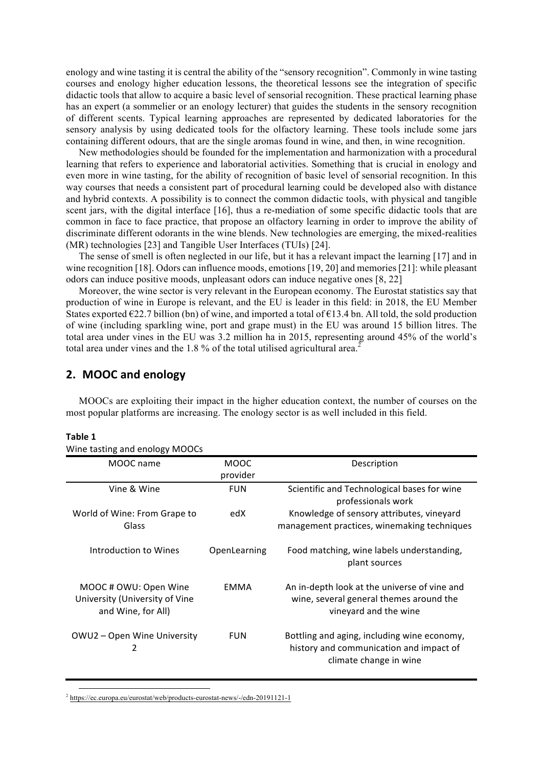enology and wine tasting it is central the ability of the "sensory recognition". Commonly in wine tasting courses and enology higher education lessons, the theoretical lessons see the integration of specific didactic tools that allow to acquire a basic level of sensorial recognition. These practical learning phase has an expert (a sommelier or an enology lecturer) that guides the students in the sensory recognition of different scents. Typical learning approaches are represented by dedicated laboratories for the sensory analysis by using dedicated tools for the olfactory learning. These tools include some jars containing different odours, that are the single aromas found in wine, and then, in wine recognition.

New methodologies should be founded for the implementation and harmonization with a procedural learning that refers to experience and laboratorial activities. Something that is crucial in enology and even more in wine tasting, for the ability of recognition of basic level of sensorial recognition. In this way courses that needs a consistent part of procedural learning could be developed also with distance and hybrid contexts. A possibility is to connect the common didactic tools, with physical and tangible scent jars, with the digital interface [16], thus a re-mediation of some specific didactic tools that are common in face to face practice, that propose an olfactory learning in order to improve the ability of discriminate different odorants in the wine blends. New technologies are emerging, the mixed-realities (MR) technologies [23] and Tangible User Interfaces (TUIs) [24].

The sense of smell is often neglected in our life, but it has a relevant impact the learning [17] and in wine recognition [18]. Odors can influence moods, emotions [19, 20] and memories [21]: while pleasant odors can induce positive moods, unpleasant odors can induce negative ones [8, 22]

Moreover, the wine sector is very relevant in the European economy. The Eurostat statistics say that production of wine in Europe is relevant, and the EU is leader in this field: in 2018, the EU Member States exported  $\epsilon$ 22.7 billion (bn) of wine, and imported a total of  $\epsilon$ 13.4 bn. All told, the sold production of wine (including sparkling wine, port and grape must) in the EU was around 15 billion litres. The total area under vines in the EU was 3.2 million ha in 2015, representing around 45% of the world's total area under vines and the 1.8 % of the total utilised agricultural area.<sup>2</sup>

# **2. MOOC and enology**

MOOCs are exploiting their impact in the higher education context, the number of courses on the most popular platforms are increasing. The enology sector is as well included in this field.

#### **Table 1**

|  |  |  |  | Wine tasting and enology MOOCs |
|--|--|--|--|--------------------------------|
|--|--|--|--|--------------------------------|

| MOOC name                                                                     | MOOC         | Description                                                                                                      |  |
|-------------------------------------------------------------------------------|--------------|------------------------------------------------------------------------------------------------------------------|--|
|                                                                               | provider     |                                                                                                                  |  |
| Vine & Wine                                                                   | <b>FUN</b>   | Scientific and Technological bases for wine<br>professionals work                                                |  |
| World of Wine: From Grape to<br>Glass                                         | edX          | Knowledge of sensory attributes, vineyard<br>management practices, winemaking techniques                         |  |
| Introduction to Wines                                                         | OpenLearning | Food matching, wine labels understanding,<br>plant sources                                                       |  |
| MOOC # OWU: Open Wine<br>University (University of Vine<br>and Wine, for All) | <b>FMMA</b>  | An in-depth look at the universe of vine and<br>wine, several general themes around the<br>vineyard and the wine |  |
| OWU2 – Open Wine University<br>2                                              | <b>FUN</b>   | Bottling and aging, including wine economy,<br>history and communication and impact of<br>climate change in wine |  |

2 https://ec.europa.eu/eurostat/web/products-eurostat-news/-/edn-20191121-1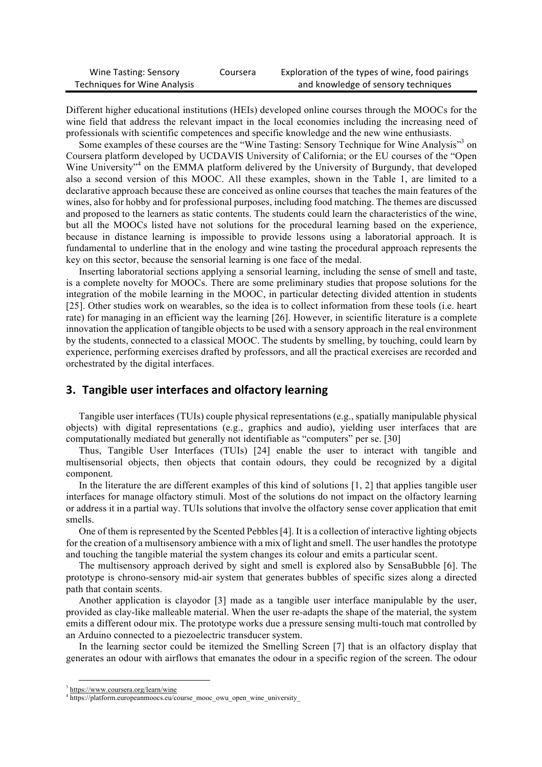| Wine Tasting: Sensory        | Coursera | Exploration of the types of wine, food pairings |
|------------------------------|----------|-------------------------------------------------|
| Techniques for Wine Analysis |          | and knowledge of sensory techniques             |

Different higher educational institutions (HEIs) developed online courses through the MOOCs for the wine field that address the relevant impact in the local economies including the increasing need of professionals with scientific competences and specific knowledge and the new wine enthusiasts.

Some examples of these courses are the "Wine Tasting: Sensory Technique for Wine Analysis"<sup>3</sup> on Coursera platform developed by UCDAVIS University of California; or the EU courses of the "Open Wine University<sup>34</sup> on the EMMA platform delivered by the University of Burgundy, that developed also a second version of this MOOC. All these examples, shown in the Table 1, are limited to a declarative approach because these are conceived as online courses that teaches the main features of the wines, also for hobby and for professional purposes, including food matching. The themes are discussed and proposed to the learners as static contents. The students could learn the characteristics of the wine, but all the MOOCs listed have not solutions for the procedural learning based on the experience, because in distance learning is impossible to provide lessons using a laboratorial approach. It is fundamental to underline that in the enology and wine tasting the procedural approach represents the key on this sector, because the sensorial learning is one face of the medal.

Inserting laboratorial sections applying a sensorial learning, including the sense of smell and taste, is a complete novelty for MOOCs. There are some preliminary studies that propose solutions for the integration of the mobile learning in the MOOC, in particular detecting divided attention in students [25]. Other studies work on wearables, so the idea is to collect information from these tools (i.e. heart rate) for managing in an efficient way the learning [26]. However, in scientific literature is a complete innovation the application of tangible objects to be used with a sensory approach in the real environment by the students, connected to a classical MOOC. The students by smelling, by touching, could learn by experience, performing exercises drafted by professors, and all the practical exercises are recorded and orchestrated by the digital interfaces.

## **3.** Tangible user interfaces and olfactory learning

Tangible user interfaces (TUIs) couple physical representations (e.g., spatially manipulable physical objects) with digital representations (e.g., graphics and audio), yielding user interfaces that are computationally mediated but generally not identifiable as "computers" per se. [30]

Thus, Tangible User Interfaces (TUIs) [24] enable the user to interact with tangible and multisensorial objects, then objects that contain odours, they could be recognized by a digital component.

In the literature the are different examples of this kind of solutions [1, 2] that applies tangible user interfaces for manage olfactory stimuli. Most of the solutions do not impact on the olfactory learning or address it in a partial way. TUIs solutions that involve the olfactory sense cover application that emit smells.

One of them is represented by the Scented Pebbles [4]. It is a collection of interactive lighting objects for the creation of a multisensory ambience with a mix of light and smell. The user handles the prototype and touching the tangible material the system changes its colour and emits a particular scent.

The multisensory approach derived by sight and smell is explored also by SensaBubble [6]. The prototype is chrono-sensory mid-air system that generates bubbles of specific sizes along a directed path that contain scents.

Another application is clayodor [3] made as a tangible user interface manipulable by the user, provided as clay-like malleable material. When the user re-adapts the shape of the material, the system emits a different odour mix. The prototype works due a pressure sensing multi-touch mat controlled by an Arduino connected to a piezoelectric transducer system.

In the learning sector could be itemized the Smelling Screen [7] that is an olfactory display that generates an odour with airflows that emanates the odour in a specific region of the screen. The odour

 <sup>3</sup> https://www.coursera.org/learn/wine

<sup>4</sup> https://platform.europeanmoocs.eu/course\_mooc\_owu\_open\_wine\_university\_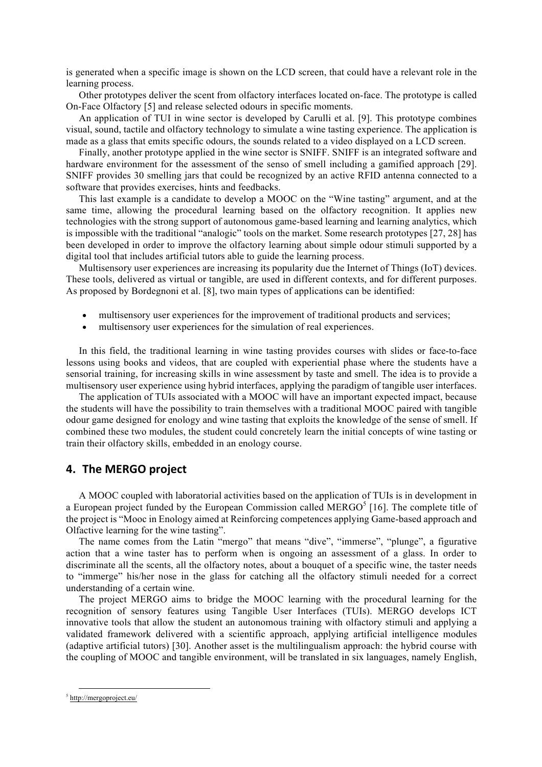is generated when a specific image is shown on the LCD screen, that could have a relevant role in the learning process.

Other prototypes deliver the scent from olfactory interfaces located on-face. The prototype is called On-Face Olfactory [5] and release selected odours in specific moments.

An application of TUI in wine sector is developed by Carulli et al. [9]. This prototype combines visual, sound, tactile and olfactory technology to simulate a wine tasting experience. The application is made as a glass that emits specific odours, the sounds related to a video displayed on a LCD screen.

Finally, another prototype applied in the wine sector is SNIFF. SNIFF is an integrated software and hardware environment for the assessment of the senso of smell including a gamified approach [29]. SNIFF provides 30 smelling jars that could be recognized by an active RFID antenna connected to a software that provides exercises, hints and feedbacks.

This last example is a candidate to develop a MOOC on the "Wine tasting" argument, and at the same time, allowing the procedural learning based on the olfactory recognition. It applies new technologies with the strong support of autonomous game-based learning and learning analytics, which is impossible with the traditional "analogic" tools on the market. Some research prototypes [27, 28] has been developed in order to improve the olfactory learning about simple odour stimuli supported by a digital tool that includes artificial tutors able to guide the learning process.

Multisensory user experiences are increasing its popularity due the Internet of Things (IoT) devices. These tools, delivered as virtual or tangible, are used in different contexts, and for different purposes. As proposed by Bordegnoni et al. [8], two main types of applications can be identified:

- multisensory user experiences for the improvement of traditional products and services:
- multisensory user experiences for the simulation of real experiences.

In this field, the traditional learning in wine tasting provides courses with slides or face-to-face lessons using books and videos, that are coupled with experiential phase where the students have a sensorial training, for increasing skills in wine assessment by taste and smell. The idea is to provide a multisensory user experience using hybrid interfaces, applying the paradigm of tangible user interfaces.

The application of TUIs associated with a MOOC will have an important expected impact, because the students will have the possibility to train themselves with a traditional MOOC paired with tangible odour game designed for enology and wine tasting that exploits the knowledge of the sense of smell. If combined these two modules, the student could concretely learn the initial concepts of wine tasting or train their olfactory skills, embedded in an enology course.

## **4. The MERGO project**

A MOOC coupled with laboratorial activities based on the application of TUIs is in development in a European project funded by the European Commission called MERGO $<sup>5</sup>$  [16]. The complete title of</sup> the project is "Mooc in Enology aimed at Reinforcing competences applying Game-based approach and Olfactive learning for the wine tasting".

The name comes from the Latin "mergo" that means "dive", "immerse", "plunge", a figurative action that a wine taster has to perform when is ongoing an assessment of a glass. In order to discriminate all the scents, all the olfactory notes, about a bouquet of a specific wine, the taster needs to "immerge" his/her nose in the glass for catching all the olfactory stimuli needed for a correct understanding of a certain wine.

The project MERGO aims to bridge the MOOC learning with the procedural learning for the recognition of sensory features using Tangible User Interfaces (TUIs). MERGO develops ICT innovative tools that allow the student an autonomous training with olfactory stimuli and applying a validated framework delivered with a scientific approach, applying artificial intelligence modules (adaptive artificial tutors) [30]. Another asset is the multilingualism approach: the hybrid course with the coupling of MOOC and tangible environment, will be translated in six languages, namely English,

 <sup>5</sup> http://mergoproject.eu/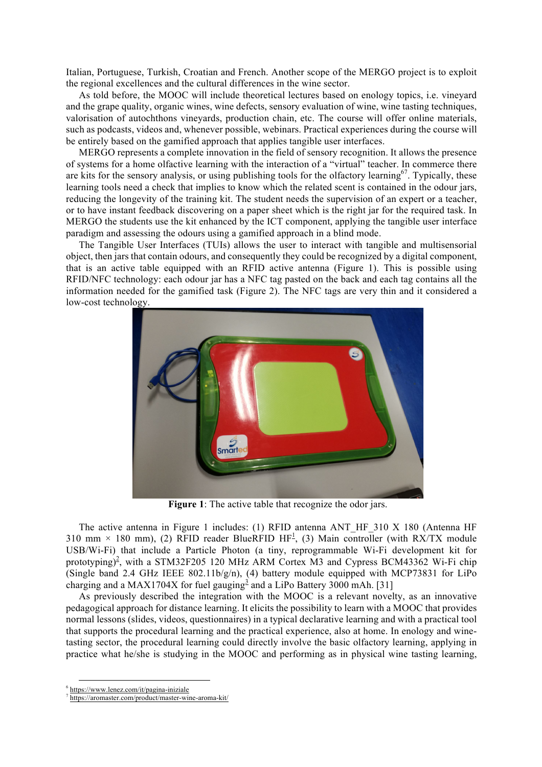Italian, Portuguese, Turkish, Croatian and French. Another scope of the MERGO project is to exploit the regional excellences and the cultural differences in the wine sector.

As told before, the MOOC will include theoretical lectures based on enology topics, i.e. vineyard and the grape quality, organic wines, wine defects, sensory evaluation of wine, wine tasting techniques, valorisation of autochthons vineyards, production chain, etc. The course will offer online materials, such as podcasts, videos and, whenever possible, webinars. Practical experiences during the course will be entirely based on the gamified approach that applies tangible user interfaces.

MERGO represents a complete innovation in the field of sensory recognition. It allows the presence of systems for a home olfactive learning with the interaction of a "virtual" teacher. In commerce there are kits for the sensory analysis, or using publishing tools for the olfactory learning<sup>67</sup>. Typically, these learning tools need a check that implies to know which the related scent is contained in the odour jars, reducing the longevity of the training kit. The student needs the supervision of an expert or a teacher, or to have instant feedback discovering on a paper sheet which is the right jar for the required task. In MERGO the students use the kit enhanced by the ICT component, applying the tangible user interface paradigm and assessing the odours using a gamified approach in a blind mode.

The Tangible User Interfaces (TUIs) allows the user to interact with tangible and multisensorial object, then jars that contain odours, and consequently they could be recognized by a digital component, that is an active table equipped with an RFID active antenna (Figure 1). This is possible using RFID/NFC technology: each odour jar has a NFC tag pasted on the back and each tag contains all the information needed for the gamified task (Figure 2). The NFC tags are very thin and it considered a low-cost technology.



**Figure 1**: The active table that recognize the odor jars.

The active antenna in Figure 1 includes: (1) RFID antenna ANT\_HF\_310 X 180 (Antenna HF 310 mm  $\times$  180 mm), (2) RFID reader BlueRFID HF<sup>1</sup>, (3) Main controller (with RX/TX module USB/Wi-Fi) that include a Particle Photon (a tiny, reprogrammable Wi-Fi development kit for prototyping)<sup>2</sup>, with a STM32F205 120 MHz ARM Cortex M3 and Cypress BCM43362 Wi-Fi chip (Single band 2.4 GHz IEEE 802.11b/g/n), (4) battery module equipped with MCP73831 for LiPo charging and a MAX1704X for fuel gauging<sup>3</sup> and a LiPo Battery 3000 mAh. [31]

As previously described the integration with the MOOC is a relevant novelty, as an innovative pedagogical approach for distance learning. It elicits the possibility to learn with a MOOC that provides normal lessons (slides, videos, questionnaires) in a typical declarative learning and with a practical tool that supports the procedural learning and the practical experience, also at home. In enology and winetasting sector, the procedural learning could directly involve the basic olfactory learning, applying in practice what he/she is studying in the MOOC and performing as in physical wine tasting learning,

 <sup>6</sup> https://www.lenez.com/it/pagina-iniziale

<sup>7</sup> https://aromaster.com/product/master-wine-aroma-kit/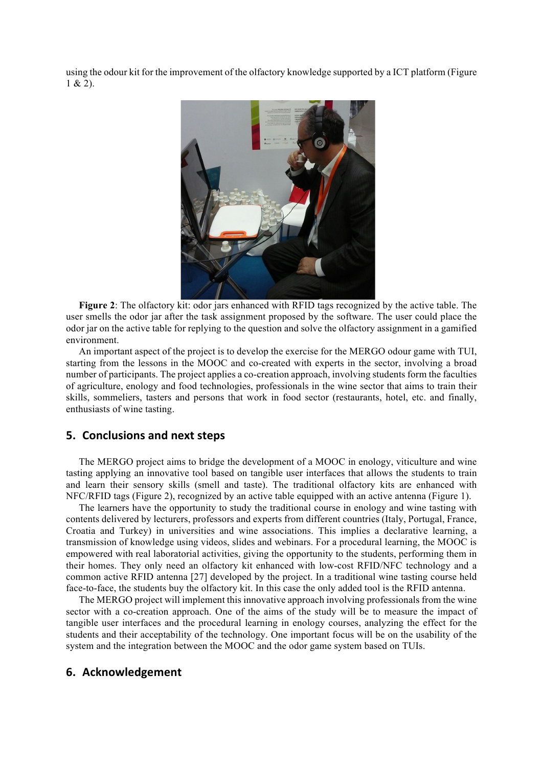using the odour kit for the improvement of the olfactory knowledge supported by a ICT platform (Figure  $1 & 2$ ).



**Figure 2**: The olfactory kit: odor jars enhanced with RFID tags recognized by the active table. The user smells the odor jar after the task assignment proposed by the software. The user could place the odor jar on the active table for replying to the question and solve the olfactory assignment in a gamified environment.

An important aspect of the project is to develop the exercise for the MERGO odour game with TUI, starting from the lessons in the MOOC and co-created with experts in the sector, involving a broad number of participants. The project applies a co-creation approach, involving students form the faculties of agriculture, enology and food technologies, professionals in the wine sector that aims to train their skills, sommeliers, tasters and persons that work in food sector (restaurants, hotel, etc. and finally, enthusiasts of wine tasting.

## **5. Conclusions and next steps**

The MERGO project aims to bridge the development of a MOOC in enology, viticulture and wine tasting applying an innovative tool based on tangible user interfaces that allows the students to train and learn their sensory skills (smell and taste). The traditional olfactory kits are enhanced with NFC/RFID tags (Figure 2), recognized by an active table equipped with an active antenna (Figure 1).

The learners have the opportunity to study the traditional course in enology and wine tasting with contents delivered by lecturers, professors and experts from different countries (Italy, Portugal, France, Croatia and Turkey) in universities and wine associations. This implies a declarative learning, a transmission of knowledge using videos, slides and webinars. For a procedural learning, the MOOC is empowered with real laboratorial activities, giving the opportunity to the students, performing them in their homes. They only need an olfactory kit enhanced with low-cost RFID/NFC technology and a common active RFID antenna [27] developed by the project. In a traditional wine tasting course held face-to-face, the students buy the olfactory kit. In this case the only added tool is the RFID antenna.

The MERGO project will implement this innovative approach involving professionals from the wine sector with a co-creation approach. One of the aims of the study will be to measure the impact of tangible user interfaces and the procedural learning in enology courses, analyzing the effect for the students and their acceptability of the technology. One important focus will be on the usability of the system and the integration between the MOOC and the odor game system based on TUIs.

#### **6. Acknowledgement**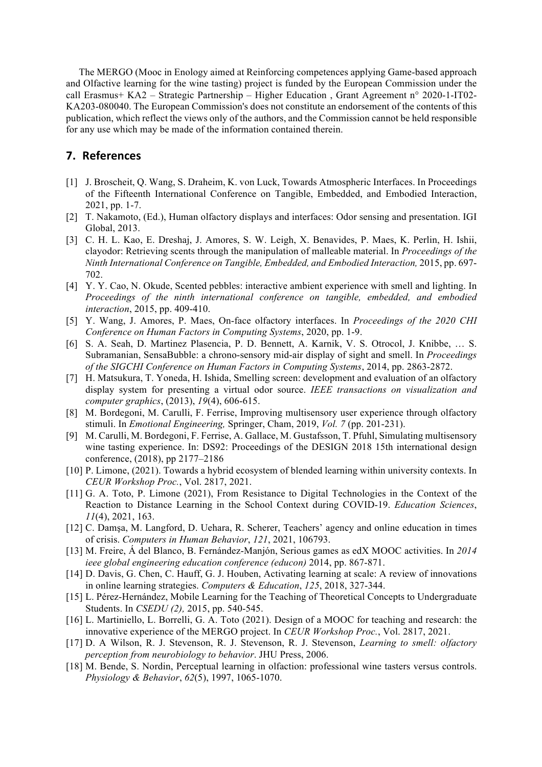The MERGO (Mooc in Enology aimed at Reinforcing competences applying Game-based approach and Olfactive learning for the wine tasting) project is funded by the European Commission under the call Erasmus+ KA2 – Strategic Partnership – Higher Education , Grant Agreement n° 2020-1-IT02- KA203-080040. The European Commission's does not constitute an endorsement of the contents of this publication, which reflect the views only of the authors, and the Commission cannot be held responsible for any use which may be made of the information contained therein.

## **7. References**

- [1] J. Broscheit, Q. Wang, S. Draheim, K. von Luck, Towards Atmospheric Interfaces. In Proceedings of the Fifteenth International Conference on Tangible, Embedded, and Embodied Interaction, 2021, pp. 1-7.
- [2] T. Nakamoto, (Ed.), Human olfactory displays and interfaces: Odor sensing and presentation. IGI Global, 2013.
- [3] C. H. L. Kao, E. Dreshaj, J. Amores, S. W. Leigh, X. Benavides, P. Maes, K. Perlin, H. Ishii, clayodor: Retrieving scents through the manipulation of malleable material. In *Proceedings of the Ninth International Conference on Tangible, Embedded, and Embodied Interaction,* 2015, pp. 697- 702.
- [4] Y. Y. Cao, N. Okude, Scented pebbles: interactive ambient experience with smell and lighting. In *Proceedings of the ninth international conference on tangible, embedded, and embodied interaction*, 2015, pp. 409-410.
- [5] Y. Wang, J. Amores, P. Maes, On-face olfactory interfaces. In *Proceedings of the 2020 CHI Conference on Human Factors in Computing Systems*, 2020, pp. 1-9.
- [6] S. A. Seah, D. Martinez Plasencia, P. D. Bennett, A. Karnik, V. S. Otrocol, J. Knibbe, … S. Subramanian, SensaBubble: a chrono-sensory mid-air display of sight and smell. In *Proceedings of the SIGCHI Conference on Human Factors in Computing Systems*, 2014, pp. 2863-2872.
- [7] H. Matsukura, T. Yoneda, H. Ishida, Smelling screen: development and evaluation of an olfactory display system for presenting a virtual odor source. *IEEE transactions on visualization and computer graphics*, (2013), *19*(4), 606-615.
- [8] M. Bordegoni, M. Carulli, F. Ferrise, Improving multisensory user experience through olfactory stimuli. In *Emotional Engineering,* Springer, Cham, 2019, *Vol. 7* (pp. 201-231).
- [9] M. Carulli, M. Bordegoni, F. Ferrise, A. Gallace, M. Gustafsson, T. Pfuhl, Simulating multisensory wine tasting experience. In: DS92: Proceedings of the DESIGN 2018 15th international design conference, (2018), pp 2177–2186
- [10] P. Limone, (2021). Towards a hybrid ecosystem of blended learning within university contexts. In *CEUR Workshop Proc.*, Vol. 2817, 2021.
- [11] G. A. Toto, P. Limone (2021), From Resistance to Digital Technologies in the Context of the Reaction to Distance Learning in the School Context during COVID-19. *Education Sciences*, *11*(4), 2021, 163.
- [12] C. Damşa, M. Langford, D. Uehara, R. Scherer, Teachers' agency and online education in times of crisis. *Computers in Human Behavior*, *121*, 2021, 106793.
- [13] M. Freire, Á del Blanco, B. Fernández-Manjón, Serious games as edX MOOC activities. In *2014 ieee global engineering education conference (educon)* 2014, pp. 867-871.
- [14] D. Davis, G. Chen, C. Hauff, G. J. Houben, Activating learning at scale: A review of innovations in online learning strategies. *Computers & Education*, *125*, 2018, 327-344.
- [15] L. Pérez-Hernández, Mobile Learning for the Teaching of Theoretical Concepts to Undergraduate Students. In *CSEDU (2),* 2015, pp. 540-545.
- [16] L. Martiniello, L. Borrelli, G. A. Toto (2021). Design of a MOOC for teaching and research: the innovative experience of the MERGO project. In *CEUR Workshop Proc.*, Vol. 2817, 2021.
- [17] D. A Wilson, R. J. Stevenson, R. J. Stevenson, R. J. Stevenson, *Learning to smell: olfactory perception from neurobiology to behavior*. JHU Press, 2006.
- [18] M. Bende, S. Nordin, Perceptual learning in olfaction: professional wine tasters versus controls. *Physiology & Behavior*, *62*(5), 1997, 1065-1070.